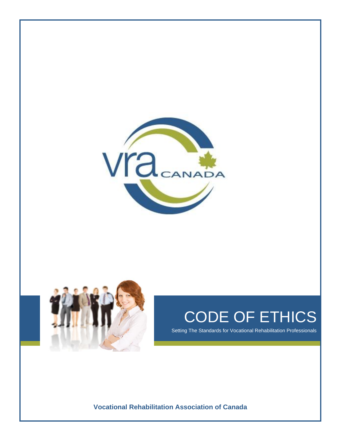



# CODE OF ETHICS

Setting The Standards for Vocational Rehabilitation Professionals

**Vocational Rehabilitation Association of Canada**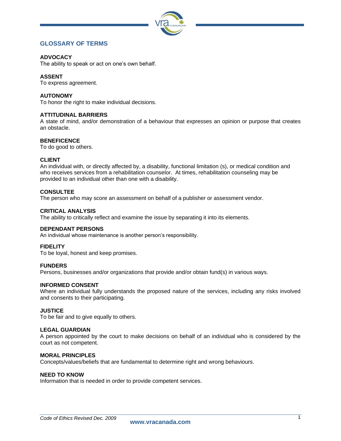

# **GLOSSARY OF TERMS**

# **ADVOCACY**

The ability to speak or act on one's own behalf.

# **ASSENT**

To express agreement.

# **AUTONOMY**

To honor the right to make individual decisions.

# **ATTITUDINAL BARRIERS**

A state of mind, and/or demonstration of a behaviour that expresses an opinion or purpose that creates an obstacle.

# **BENEFICENCE**

To do good to others.

# **CLIENT**

An individual with, or directly affected by, a disability, functional limitation (s), or medical condition and who receives services from a rehabilitation counselor. At times, rehabilitation counseling may be provided to an individual other than one with a disability.

# **CONSULTEE**

The person who may score an assessment on behalf of a publisher or assessment vendor.

# **CRITICAL ANALYSIS**

The ability to critically reflect and examine the issue by separating it into its elements.

# **DEPENDANT PERSONS**

An individual whose maintenance is another person's responsibility.

# **FIDELITY**

To be loyal, honest and keep promises.

# **FUNDERS**

Persons, businesses and/or organizations that provide and/or obtain fund(s) in various ways.

# **INFORMED CONSENT**

Where an individual fully understands the proposed nature of the services, including any risks involved and consents to their participating.

# **JUSTICE**

To be fair and to give equally to others.

# **LEGAL GUARDIAN**

A person appointed by the court to make decisions on behalf of an individual who is considered by the court as not competent.

# **MORAL PRINCIPLES**

Concepts/values/beliefs that are fundamental to determine right and wrong behaviours.

# **NEED TO KNOW**

Information that is needed in order to provide competent services.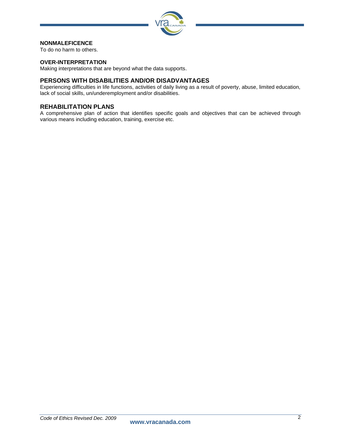

# **NONMALEFICENCE**

To do no harm to others.

# **OVER-INTERPRETATION**

Making interpretations that are beyond what the data supports.

# **PERSONS WITH DISABILITIES AND/OR DISADVANTAGES**

Experiencing difficulties in life functions, activities of daily living as a result of poverty, abuse, limited education, lack of social skills, un/underemployment and/or disabilities.

# **REHABILITATION PLANS**

A comprehensive plan of action that identifies specific goals and objectives that can be achieved through various means including education, training, exercise etc.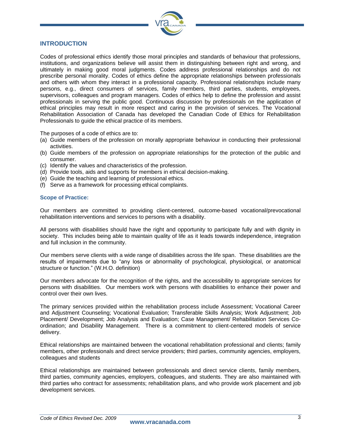

# **INTRODUCTION**

Codes of professional ethics identify those moral principles and standards of behaviour that professions, institutions, and organizations believe will assist them in distinguishing between right and wrong, and ultimately in making good moral judgments. Codes address professional relationships and do not prescribe personal morality. Codes of ethics define the appropriate relationships between professionals and others with whom they interact in a professional capacity. Professional relationships include many persons, e.g., direct consumers of services, family members, third parties, students, employees, supervisors, colleagues and program managers. Codes of ethics help to define the profession and assist professionals in serving the public good. Continuous discussion by professionals on the application of ethical principles may result in more respect and caring in the provision of services. The Vocational Rehabilitation Association of Canada has developed the Canadian Code of Ethics for Rehabilitation Professionals to guide the ethical practice of its members.

The purposes of a code of ethics are to:

- (a) Guide members of the profession on morally appropriate behaviour in conducting their professional activities.
- (b) Guide members of the profession on appropriate relationships for the protection of the public and consumer.
- (c) Identify the values and characteristics of the profession.
- (d) Provide tools, aids and supports for members in ethical decision-making.
- (e) Guide the teaching and learning of professional ethics.
- (f) Serve as a framework for processing ethical complaints.

# **Scope of Practice:**

Our members are committed to providing client-centered, outcome-based vocational/prevocational rehabilitation interventions and services to persons with a disability.

All persons with disabilities should have the right and opportunity to participate fully and with dignity in society. This includes being able to maintain quality of life as it leads towards independence, integration and full inclusion in the community.

Our members serve clients with a wide range of disabilities across the life span. These disabilities are the results of impairments due to "any loss or abnormality of psychological, physiological, or anatomical structure or function." (W.H.O. definition)

Our members advocate for the recognition of the rights, and the accessibility to appropriate services for persons with disabilities. Our members work with persons with disabilities to enhance their power and control over their own lives.

The primary services provided within the rehabilitation process include Assessment; Vocational Career and Adjustment Counseling; Vocational Evaluation; Transferable Skills Analysis; Work Adjustment; Job Placement/ Development; Job Analysis and Evaluation; Case Management/ Rehabilitation Services Coordination; and Disability Management. There is a commitment to client-centered models of service delivery.

Ethical relationships are maintained between the vocational rehabilitation professional and clients; family members, other professionals and direct service providers; third parties, community agencies, employers, colleagues and students

Ethical relationships are maintained between professionals and direct service clients, family members, third parties, community agencies, employers, colleagues, and students. They are also maintained with third parties who contract for assessments; rehabilitation plans, and who provide work placement and job development services.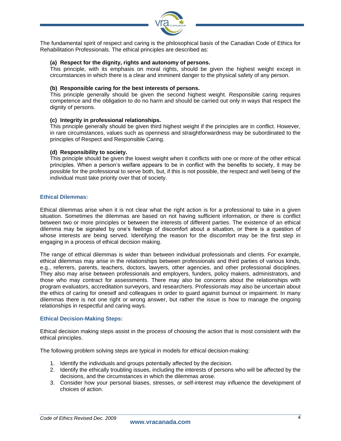

The fundamental spirit of respect and caring is the philosophical basis of the Canadian Code of Ethics for Rehabilitation Professionals. The ethical principles are described as:

# **(a) Respect for the dignity, rights and autonomy of persons.**

This principle, with its emphasis on moral rights, should be given the highest weight except in circumstances in which there is a clear and imminent danger to the physical safety of any person.

# **(b) Responsible caring for the best interests of persons.**

This principle generally should be given the second highest weight. Responsible caring requires competence and the obligation to do no harm and should be carried out only in ways that respect the dignity of persons.

# **(c) Integrity in professional relationships.**

This principle generally should be given third highest weight if the principles are in conflict. However, in rare circumstances, values such as openness and straightforwardness may be subordinated to the principles of Respect and Responsible Caring.

# **(d) Responsibility to society.**

This principle should be given the lowest weight when it conflicts with one or more of the other ethical principles. When a person's welfare appears to be in conflict with the benefits to society, it may be possible for the professional to serve both, but, if this is not possible, the respect and well being of the individual must take priority over that of society.

# **Ethical Dilemmas:**

Ethical dilemmas arise when it is not clear what the right action is for a professional to take in a given situation. Sometimes the dilemmas are based on not having sufficient information, or there is conflict between two or more principles or between the interests of different parties. The existence of an ethical dilemma may be signaled by one's feelings of discomfort about a situation, or there is a question of whose interests are being served. Identifying the reason for the discomfort may be the first step in engaging in a process of ethical decision making.

The range of ethical dilemmas is wider than between individual professionals and clients. For example, ethical dilemmas may arise in the relationships between professionals and third parties of various kinds, e.g., referrers, parents, teachers, doctors, lawyers, other agencies, and other professional disciplines. They also may arise between professionals and employers, funders, policy makers, administrators, and those who may contract for assessments. There may also be concerns about the relationships with program evaluators, accreditation surveyors, and researchers. Professionals may also be uncertain about the ethics of caring for oneself and colleagues in order to guard against burnout or impairment. In many dilemmas there is not one right or wrong answer, but rather the issue is how to manage the ongoing relationships in respectful and caring ways.

# **Ethical Decision-Making Steps:**

Ethical decision making steps assist in the process of choosing the action that is most consistent with the ethical principles.

The following problem solving steps are typical in models for ethical decision-making:

- 1. Identify the individuals and groups potentially affected by the decision.
- 2. Identify the ethically troubling issues, including the interests of persons who will be affected by the decisions, and the circumstances in which the dilemmas arose.
- 3. Consider how your personal biases, stresses, or self-interest may influence the development of choices of action.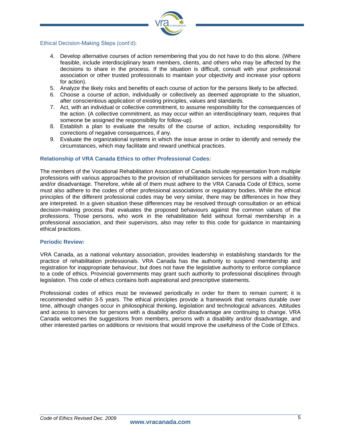

# Ethical Decision-Making Steps (cont'd):

- 4. Develop alternative courses of action remembering that you do not have to do this alone. (Where feasible, include interdisciplinary team members, clients, and others who may be affected by the decisions to share in the process. If the situation is difficult, consult with your professional association or other trusted professionals to maintain your objectivity and increase your options for action).
- 5. Analyze the likely risks and benefits of each course of action for the persons likely to be affected.
- 6. Choose a course of action, individually or collectively as deemed appropriate to the situation, after conscientious application of existing principles, values and standards.
- 7. Act, with an individual or collective commitment, to assume responsibility for the consequences of the action. (A collective commitment, as may occur within an interdisciplinary team, requires that someone be assigned the responsibility for follow-up).
- 8. Establish a plan to evaluate the results of the course of action, including responsibility for corrections of negative consequences, if any.
- 9. Evaluate the organizational systems in which the issue arose in order to identify and remedy the circumstances, which may facilitate and reward unethical practices.

# **Relationship of VRA Canada Ethics to other Professional Codes:**

The members of the Vocational Rehabilitation Association of Canada include representation from multiple professions with various approaches to the provision of rehabilitation services for persons with a disability and/or disadvantage. Therefore, while all of them must adhere to the VRA Canada Code of Ethics, some must also adhere to the codes of other professional associations or regulatory bodies. While the ethical principles of the different professional codes may be very similar, there may be differences in how they are interpreted. In a given situation these differences may be resolved through consultation or an ethical decision-making process that evaluates the proposed behaviours against the common values of the professions. Those persons, who work in the rehabilitation field without formal membership in a professional association, and their supervisors, also may refer to this code for guidance in maintaining ethical practices.

# **Periodic Review:**

VRA Canada, as a national voluntary association, provides leadership in establishing standards for the practice of rehabilitation professionals. VRA Canada has the authority to suspend membership and registration for inappropriate behaviour, but does not have the legislative authority to enforce compliance to a code of ethics. Provincial governments may grant such authority to professional disciplines through legislation. This code of ethics contains both aspirational and prescriptive statements.

Professional codes of ethics must be reviewed periodically in order for them to remain current; it is recommended within 3-5 years. The ethical principles provide a framework that remains durable over time, although changes occur in philosophical thinking, legislation and technological advances. Attitudes and access to services for persons with a disability and/or disadvantage are continuing to change. VRA Canada welcomes the suggestions from members, persons with a disability and/or disadvantage, and other interested parties on additions or revisions that would improve the usefulness of the Code of Ethics.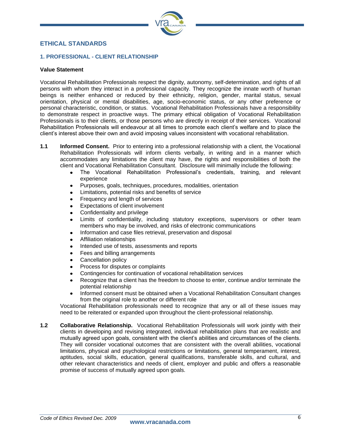

# **ETHICAL STANDARDS**

# **1. PROFESSIONAL - CLIENT RELATIONSHIP**

# **Value Statement**

Vocational Rehabilitation Professionals respect the dignity, autonomy, self-determination, and rights of all persons with whom they interact in a professional capacity. They recognize the innate worth of human beings is neither enhanced or reduced by their ethnicity, religion, gender, marital status, sexual orientation, physical or mental disabilities, age, socio-economic status, or any other preference or personal characteristic, condition, or status. Vocational Rehabilitation Professionals have a responsibility to demonstrate respect in proactive ways. The primary ethical obligation of Vocational Rehabilitation Professionals is to their clients, or those persons who are directly in receipt of their services. Vocational Rehabilitation Professionals will endeavour at all times to promote each client's welfare and to place the client's interest above their own and avoid imposing values inconsistent with vocational rehabilitation.

- **1.1 Informed Consent.** Prior to entering into a professional relationship with a client, the Vocational Rehabilitation Professionals will inform clients verbally, in writing and in a manner which accommodates any limitations the client may have, the rights and responsibilities of both the client and Vocational Rehabilitation Consultant. Disclosure will minimally include the following:
	- The Vocational Rehabilitation Professional's credentials, training, and relevant  $\bullet$ experience
	- Purposes, goals, techniques, procedures, modalities, orientation  $\bullet$
	- Limitations, potential risks and benefits of service
	- Frequency and length of services
	- Expectations of client involvement  $\bullet$
	- Confidentiality and privilege  $\bullet$
	- Limits of confidentiality, including statutory exceptions, supervisors or other team  $\bullet$ members who may be involved, and risks of electronic communications
	- Information and case files retrieval, preservation and disposal  $\bullet$
	- Affiliation relationships
	- Intended use of tests, assessments and reports  $\bullet$
	- Fees and billing arrangements
	- Cancellation policy
	- Process for disputes or complaints
	- Contingencies for continuation of vocational rehabilitation services  $\bullet$
	- Recognize that a client has the freedom to choose to enter, continue and/or terminate the  $\bullet$ potential relationship
	- Informed consent must be obtained when a Vocational Rehabilitation Consultant changes  $\bullet$ from the original role to another or different role

Vocational Rehabilitation professionals need to recognize that any or all of these issues may need to be reiterated or expanded upon throughout the client-professional relationship.

**1.2 Collaborative Relationship.** Vocational Rehabilitation Professionals will work jointly with their clients in developing and revising integrated, individual rehabilitation plans that are realistic and mutually agreed upon goals, consistent with the client's abilities and circumstances of the clients. They will consider vocational outcomes that are consistent with the overall abilities, vocational limitations, physical and psychological restrictions or limitations, general temperament, interest, aptitudes, social skills, education, general qualifications, transferable skills, and cultural, and other relevant characteristics and needs of client, employer and public and offers a reasonable promise of success of mutually agreed upon goals.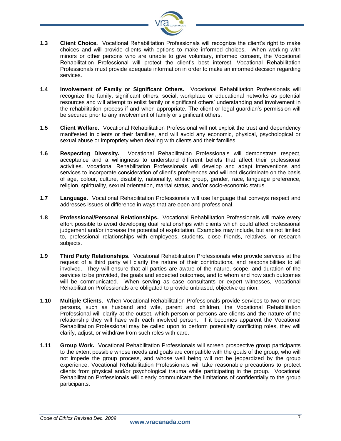

- **1.3 Client Choice.** Vocational Rehabilitation Professionals will recognize the client's right to make choices and will provide clients with options to make informed choices. When working with minors or other persons who are unable to give voluntary, informed consent, the Vocational Rehabilitation Professional will protect the client's best interest. Vocational Rehabilitation Professionals must provide adequate information in order to make an informed decision regarding services.
- **1.4 Involvement of Family or Significant Others.** Vocational Rehabilitation Professionals will recognize the family, significant others, social, workplace or educational networks as potential resources and will attempt to enlist family or significant others' understanding and involvement in the rehabilitation process if and when appropriate. The client or legal guardian's permission will be secured prior to any involvement of family or significant others.
- **1.5 Client Welfare.** Vocational Rehabilitation Professional will not exploit the trust and dependency manifested in clients or their families, and will avoid any economic, physical, psychological or sexual abuse or impropriety when dealing with clients and their families.
- **1.6 Respecting Diversity.** Vocational Rehabilitation Professionals will demonstrate respect, acceptance and a willingness to understand different beliefs that affect their professional activities. Vocational Rehabilitation Professionals will develop and adapt interventions and services to incorporate consideration of client's preferences and will not discriminate on the basis of age, colour, culture, disability, nationality, ethnic group, gender, race, language preference, religion, spirituality, sexual orientation, marital status, and/or socio-economic status.
- **1.7 Language.** Vocational Rehabilitation Professionals will use language that conveys respect and addresses issues of difference in ways that are open and professional.
- **1.8 Professional/Personal Relationships.** Vocational Rehabilitation Professionals will make every effort possible to avoid developing dual relationships with clients which could affect professional judgement and/or increase the potential of exploitation. Examples may include, but are not limited to, professional relationships with employees, students, close friends, relatives, or research subjects.
- **1.9 Third Party Relationships.** Vocational Rehabilitation Professionals who provide services at the request of a third party will clarify the nature of their contributions, and responsibilities to all involved. They will ensure that all parties are aware of the nature, scope, and duration of the services to be provided, the goals and expected outcomes, and to whom and how such outcomes will be communicated. When serving as case consultants or expert witnesses, Vocational Rehabilitation Professionals are obligated to provide unbiased, objective opinion.
- **1.10 Multiple Clients.** When Vocational Rehabilitation Professionals provide services to two or more persons, such as husband and wife, parent and children, the Vocational Rehabilitation Professional will clarify at the outset, which person or persons are clients and the nature of the relationship they will have with each involved person. If it becomes apparent the Vocational Rehabilitation Professional may be called upon to perform potentially conflicting roles, they will clarify, adjust, or withdraw from such roles with care.
- **1.11 Group Work.** Vocational Rehabilitation Professionals will screen prospective group participants to the extent possible whose needs and goals are compatible with the goals of the group, who will not impede the group process, and whose well being will not be jeopardized by the group experience. Vocational Rehabilitation Professionals will take reasonable precautions to protect clients from physical and/or psychological trauma while participating in the group. Vocational Rehabilitation Professionals will clearly communicate the limitations of confidentially to the group participants.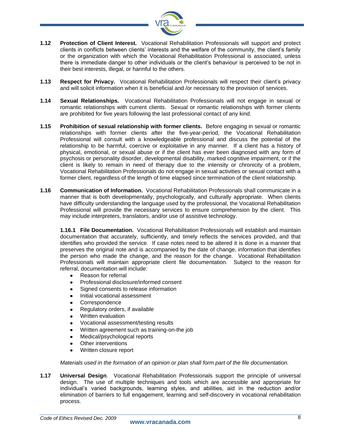

- **1.12 Protection of Client Interest.** Vocational Rehabilitation Professionals will support and protect clients in conflicts between clients' interests and the welfare of the community, the client's family or the organization with which the Vocational Rehabilitation Professional is associated, unless there is immediate danger to other individuals or the client's behaviour is perceived to be not in their best interests, illegal, or harmful to the others.
- **1.13 Respect for Privacy.** Vocational Rehabilitation Professionals will respect their client's privacy and will solicit information when it is beneficial and /or necessary to the provision of services.
- **1.14 Sexual Relationships.** Vocational Rehabilitation Professionals will not engage in sexual or romantic relationships with current clients. Sexual or romantic relationships with former clients are prohibited for five years following the last professional contact of any kind.
- **1.15 Prohibition of sexual relationship with former clients.** Before engaging in sexual or romantic relationships with former clients after the five-year-period, the Vocational Rehabilitation Professional will consult with a knowledgeable professional and discuss the potential of the relationship to be harmful, coercive or exploitative in any manner. If a client has a history of physical, emotional, or sexual abuse or if the client has ever been diagnosed with any form of psychosis or personality disorder, developmental disability, marked cognitive impairment, or if the client is likely to remain in need of therapy due to the intensity or chronicity of a problem, Vocational Rehabilitation Professionals do not engage in sexual activities or sexual contact with a former client, regardless of the length of time elapsed since termination of the client relationship.
- **1.16 Communication of Information.** Vocational Rehabilitation Professionals shall communicate in a manner that is both developmentally, psychologically, and culturally appropriate. When clients have difficulty understanding the language used by the professional, the Vocational Rehabilitation Professional will provide the necessary services to ensure comprehension by the client. This may include interpreters, translators, and/or use of assistive technology.

**1.16.1 File Documentation.** Vocational Rehabilitation Professionals will establish and maintain documentation that accurately, sufficiently, and timely reflects the services provided, and that identifies who provided the service. If case notes need to be altered it is done in a manner that preserves the original note and is accompanied by the date of change, information that identifies the person who made the change, and the reason for the change. Vocational Rehabilitation Professionals will maintain appropriate client file documentation. Subject to the reason for referral, documentation will include:

- Reason for referral
- Professional disclosure/informed consent
- Signed consents to release information  $\bullet$
- Initial vocational assessment  $\bullet$
- **Correspondence**  $\bullet$
- Regulatory orders, if available  $\bullet$
- Written evaluation  $\bullet$
- Vocational assessment/testing results  $\bullet$
- Written agreement such as training-on-the job  $\bullet$
- Medical/psychological reports
- Other interventions  $\bullet$
- $\bullet$ Written closure report

*Materials used in the formation of an opinion or plan shall form part of the file documentation.*

**1.17 Universal Design**. Vocational Rehabilitation Professionals support the principle of universal design. The use of multiple techniques and tools which are accessible and appropriate for individual's varied backgrounds, learning styles, and abilities, aid in the reduction and/or elimination of barriers to full engagement, learning and self-discovery in vocational rehabilitation process.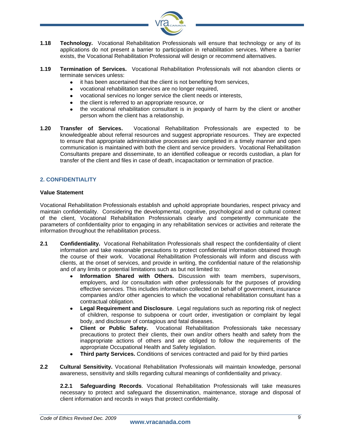

- **1.18 Technology.** Vocational Rehabilitation Professionals will ensure that technology or any of its applications do not present a barrier to participation in rehabilitation services. Where a barrier exists, the Vocational Rehabilitation Professional will design or recommend alternatives.
- **1.19 Termination of Services.** Vocational Rehabilitation Professionals will not abandon clients or terminate services unless:
	- it has been ascertained that the client is not benefiting from services,  $\bullet$
	- vocational rehabilitation services are no longer required,  $\bullet$
	- vocational services no longer service the client needs or interests,  $\bullet$
	- the client is referred to an appropriate resource, or  $\bullet$
	- the vocational rehabilitation consultant is in jeopardy of harm by the client or another  $\bullet$ person whom the client has a relationship.
- **1.20 Transfer of Services.** Vocational Rehabilitation Professionals are expected to be knowledgeable about referral resources and suggest appropriate resources. They are expected to ensure that appropriate administrative processes are completed in a timely manner and open communication is maintained with both the client and service providers. Vocational Rehabilitation Consultants prepare and disseminate, to an identified colleague or records custodian, a plan for transfer of the client and files in case of death, incapacitation or termination of practice.

# **2. CONFIDENTIALITY**

# **Value Statement**

Vocational Rehabilitation Professionals establish and uphold appropriate boundaries, respect privacy and maintain confidentiality. Considering the developmental, cognitive, psychological and or cultural context of the client, Vocational Rehabilitation Professionals clearly and competently communicate the parameters of confidentiality prior to engaging in any rehabilitation services or activities and reiterate the information throughout the rehabilitation process.

- **2.1 Confidentiality.** Vocational Rehabilitation Professionals shall respect the confidentiality of client information and take reasonable precautions to protect confidential information obtained through the course of their work. Vocational Rehabilitation Professionals will inform and discuss with clients, at the onset of services, and provide in writing, the confidential nature of the relationship and of any limits or potential limitations such as but not limited to:
	- **Information Shared with Others.** Discussion with team members, supervisors, employers, and /or consultation with other professionals for the purposes of providing effective services. This includes information collected on behalf of government, insurance companies and/or other agencies to which the vocational rehabilitation consultant has a contractual obligation.
	- $\bullet$ **Legal Requirement and Disclosure**. Legal regulations such as reporting risk of neglect of children, response to subpoena or court order, investigation or complaint by legal body, and disclosure of contagious and fatal diseases.
	- **Client or Public Safety.** Vocational Rehabilitation Professionals take necessary  $\bullet$ precautions to protect their clients, their own and/or others health and safety from the inappropriate actions of others and are obliged to follow the requirements of the appropriate Occupational Health and Safety legislation.
	- **Third party Services.** Conditions of services contracted and paid for by third parties  $\bullet$
- **2.2 Cultural Sensitivity.** Vocational Rehabilitation Professionals will maintain knowledge, personal awareness, sensitivity and skills regarding cultural meanings of confidentiality and privacy.

**2.2.1 Safeguarding Records**. Vocational Rehabilitation Professionals will take measures necessary to protect and safeguard the dissemination, maintenance, storage and disposal of client information and records in ways that protect confidentiality.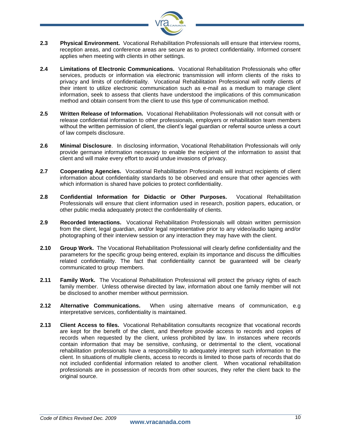

- **2.3 Physical Environment.** Vocational Rehabilitation Professionals will ensure that interview rooms, reception areas, and conference areas are secure as to protect confidentiality. Informed consent applies when meeting with clients in other settings.
- **2.4 Limitations of Electronic Communications.** Vocational Rehabilitation Professionals who offer services, products or information via electronic transmission will inform clients of the risks to privacy and limits of confidentiality. Vocational Rehabilitation Professional will notify clients of their intent to utilize electronic communication such as e-mail as a medium to manage client information, seek to assess that clients have understood the implications of this communication method and obtain consent from the client to use this type of communication method.
- **2.5 Written Release of Information.** Vocational Rehabilitation Professionals will not consult with or release confidential information to other professionals, employers or rehabilitation team members without the written permission of client, the client's legal guardian or referral source unless a court of law compels disclosure.
- **2.6 Minimal Disclosure**. In disclosing information, Vocational Rehabilitation Professionals will only provide germane information necessary to enable the recipient of the information to assist that client and will make every effort to avoid undue invasions of privacy.
- **2.7 Cooperating Agencies.** Vocational Rehabilitation Professionals will instruct recipients of client information about confidentiality standards to be observed and ensure that other agencies with which information is shared have policies to protect confidentiality.
- **2.8 Confidential Information for Didactic or Other Purposes.** Vocational Rehabilitation Professionals will ensure that client information used in research, position papers, education, or other public media adequately protect the confidentiality of clients.
- **2.9 Recorded Interactions.** Vocational Rehabilitation Professionals will obtain written permission from the client, legal guardian, and/or legal representative prior to any video/audio taping and/or photographing of their interview session or any interaction they may have with the client.
- **2.10 Group Work.** The Vocational Rehabilitation Professional will clearly define confidentiality and the parameters for the specific group being entered, explain its importance and discuss the difficulties related confidentiality. The fact that confidentiality cannot be guaranteed will be clearly communicated to group members.
- **2.11 Family Work.** The Vocational Rehabilitation Professional will protect the privacy rights of each family member. Unless otherwise directed by law, information about one family member will not be disclosed to another member without permission.
- **2.12 Alternative Communications.** When using alternative means of communication, e.g interpretative services, confidentiality is maintained.
- **2.13 Client Access to files.** Vocational Rehabilitation consultants recognize that vocational records are kept for the benefit of the client, and therefore provide access to records and copies of records when requested by the client, unless prohibited by law. In instances where records contain information that may be sensitive, confusing, or detrimental to the client, vocational rehabilitation professionals have a responsibility to adequately interpret such information to the client. In situations of multiple clients, access to records is limited to those parts of records that do not included confidential information related to another client. When vocational rehabilitation professionals are in possession of records from other sources, they refer the client back to the original source.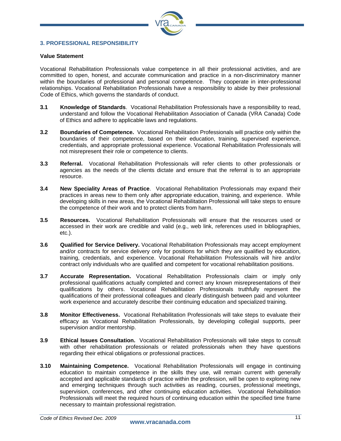

# **3. PROFESSIONAL RESPONSIBILITY**

# **Value Statement**

Vocational Rehabilitation Professionals value competence in all their professional activities, and are committed to open, honest, and accurate communication and practice in a non-discriminatory manner within the boundaries of professional and personal competence. They cooperate in inter-professional relationships. Vocational Rehabilitation Professionals have a responsibility to abide by their professional Code of Ethics, which governs the standards of conduct.

- **3.1 Knowledge of Standards**. Vocational Rehabilitation Professionals have a responsibility to read, understand and follow the Vocational Rehabilitation Association of Canada (VRA Canada) Code of Ethics and adhere to applicable laws and regulations.
- **3.2 Boundaries of Competence.** Vocational Rehabilitation Professionals will practice only within the boundaries of their competence, based on their education, training, supervised experience, credentials, and appropriate professional experience. Vocational Rehabilitation Professionals will not misrepresent their role or competence to clients.
- **3.3 Referral.** Vocational Rehabilitation Professionals will refer clients to other professionals or agencies as the needs of the clients dictate and ensure that the referral is to an appropriate resource.
- **3.4 New Speciality Areas of Practice**. Vocational Rehabilitation Professionals may expand their practices in areas new to them only after appropriate education, training, and experience. While developing skills in new areas, the Vocational Rehabilitation Professional will take steps to ensure the competence of their work and to protect clients from harm.
- **3.5 Resources.** Vocational Rehabilitation Professionals will ensure that the resources used or accessed in their work are credible and valid (e.g., web link, references used in bibliographies, etc.).
- **3.6 Qualified for Service Delivery.** Vocational Rehabilitation Professionals may accept employment and/or contracts for service delivery only for positions for which they are qualified by education, training, credentials, and experience. Vocational Rehabilitation Professionals will hire and/or contract only individuals who are qualified and competent for vocational rehabilitation positions.
- **3.7 Accurate Representation.** Vocational Rehabilitation Professionals claim or imply only professional qualifications actually completed and correct any known misrepresentations of their qualifications by others. Vocational Rehabilitation Professionals truthfully represent the qualifications of their professional colleagues and clearly distinguish between paid and volunteer work experience and accurately describe their continuing education and specialized training.
- **3.8 Monitor Effectiveness.** Vocational Rehabilitation Professionals will take steps to evaluate their efficacy as Vocational Rehabilitation Professionals, by developing collegial supports, peer supervision and/or mentorship.
- **3.9 Ethical Issues Consultation.** Vocational Rehabilitation Professionals will take steps to consult with other rehabilitation professionals or related professionals when they have questions regarding their ethical obligations or professional practices.
- **3.10 Maintaining Competence.** Vocational Rehabilitation Professionals will engage in continuing education to maintain competence in the skills they use, will remain current with generally accepted and applicable standards of practice within the profession, will be open to exploring new and emerging techniques through such activities as reading, courses, professional meetings, supervision, conferences, and other continuing education activities. Vocational Rehabilitation Professionals will meet the required hours of continuing education within the specified time frame necessary to maintain professional registration.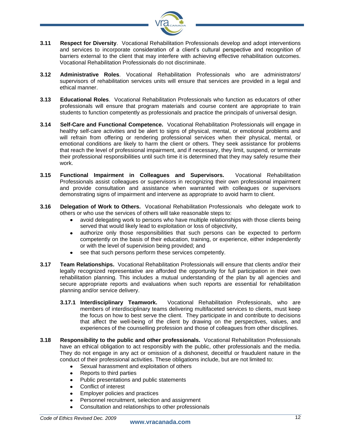

- **3.11 Respect for Diversity**. Vocational Rehabilitation Professionals develop and adopt interventions and services to incorporate consideration of a client's cultural perspective and recognition of barriers external to the client that may interfere with achieving effective rehabilitation outcomes. Vocational Rehabilitation Professionals do not discriminate.
- **3.12 Administrative Roles**. Vocational Rehabilitation Professionals who are administrators/ supervisors of rehabilitation services units will ensure that services are provided in a legal and ethical manner.
- **3.13 Educational Roles**. Vocational Rehabilitation Professionals who function as educators of other professionals will ensure that program materials and course content are appropriate to train students to function competently as professionals and practice the principals of universal design.
- **3.14 Self-Care and Functional Competence.** Vocational Rehabilitation Professionals will engage in healthy self-care activities and be alert to signs of physical, mental, or emotional problems and will refrain from offering or rendering professional services when their physical, mental, or emotional conditions are likely to harm the client or others. They seek assistance for problems that reach the level of professional impairment, and if necessary, they limit, suspend, or terminate their professional responsibilities until such time it is determined that they may safely resume their work.
- **3.15 Functional Impairment in Colleagues and Supervisors.** Vocational Rehabilitation Professionals assist colleagues or supervisors in recognizing their own professional impairment and provide consultation and assistance when warranted with colleagues or supervisors demonstrating signs of impairment and intervene as appropriate to avoid harm to client.
- **3.16 Delegation of Work to Others.** Vocational Rehabilitation Professionals who delegate work to others or who use the services of others will take reasonable steps to:
	- $\bullet$ avoid delegating work to persons who have multiple relationships with those clients being served that would likely lead to exploitation or loss of objectivity,
	- authorize only those responsibilities that such persons can be expected to perform  $\bullet$ competently on the basis of their education, training, or experience, either independently or with the level of supervision being provided; and
	- see that such persons perform these services competently.  $\bullet$
- **3.17 Team Relationships.** Vocational Rehabilitation Professionals will ensure that clients and/or their legally recognized representative are afforded the opportunity for full participation in their own rehabilitation planning. This includes a mutual understanding of the plan by all agencies and secure appropriate reports and evaluations when such reports are essential for rehabilitation planning and/or service delivery.
	- **3.17.1 Interdisciplinary Teamwork.** Vocational Rehabilitation Professionals, who are members of interdisciplinary teams delivering multifaceted services to clients, must keep the focus on how to best serve the client. They participate in and contribute to decisions that affect the well-being of the client by drawing on the perspectives, values, and experiences of the counselling profession and those of colleagues from other disciplines.
- **3.18 Responsibility to the public and other professionals.** Vocational Rehabilitation Professionals have an ethical obligation to act responsibly with the public, other professionals and the media. They do not engage in any act or omission of a dishonest, deceitful or fraudulent nature in the conduct of their professional activities. These obligations include, but are not limited to:
	- Sexual harassment and exploitation of others  $\bullet$
	- $\bullet$ Reports to third parties
	- Public presentations and public statements  $\bullet$
	- Conflict of interest
	- Employer policies and practices  $\bullet$
	- Personnel recruitment, selection and assignment
	- Consultation and relationships to other professionals  $\bullet$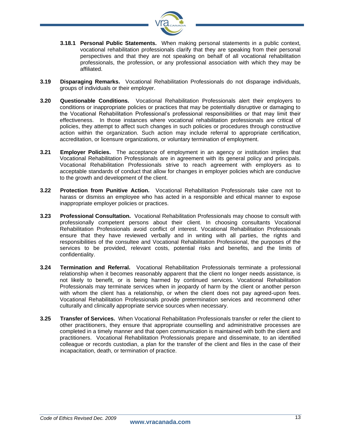

- **3.18.1 Personal Public Statements.** When making personal statements in a public context, vocational rehabilitation professionals clarify that they are speaking from their personal perspectives and that they are not speaking on behalf of all vocational rehabilitation professionals, the profession, or any professional association with which they may be affiliated.
- **3.19 Disparaging Remarks.** Vocational Rehabilitation Professionals do not disparage individuals, groups of individuals or their employer.
- **3.20 Questionable Conditions.** Vocational Rehabilitation Professionals alert their employers to conditions or inappropriate policies or practices that may be potentially disruptive or damaging to the Vocational Rehabilitation Professional's professional responsibilities or that may limit their effectiveness. In those instances where vocational rehabilitation professionals are critical of policies, they attempt to affect such changes in such policies or procedures through constructive action within the organization. Such action may include referral to appropriate certification, accreditation, or licensure organizations, or voluntary termination of employment.
- **3.21 Employer Policies.** The acceptance of employment in an agency or institution implies that Vocational Rehabilitation Professionals are in agreement with its general policy and principals. Vocational Rehabilitation Professionals strive to reach agreement with employers as to acceptable standards of conduct that allow for changes in employer policies which are conducive to the growth and development of the client.
- **3.22 Protection from Punitive Action.** Vocational Rehabilitation Professionals take care not to harass or dismiss an employee who has acted in a responsible and ethical manner to expose inappropriate employer policies or practices.
- **3.23 Professional Consultation.** Vocational Rehabilitation Professionals may choose to consult with professionally competent persons about their client. In choosing consultants Vocational Rehabilitation Professionals avoid conflict of interest. Vocational Rehabilitation Professionals ensure that they have reviewed verbally and in writing with all parties, the rights and responsibilities of the consultee and Vocational Rehabilitation Professional, the purposes of the services to be provided, relevant costs, potential risks and benefits, and the limits of confidentiality.
- **3.24 Termination and Referral.** Vocational Rehabilitation Professionals terminate a professional relationship when it becomes reasonably apparent that the client no longer needs assistance, is not likely to benefit, or is being harmed by continued services. Vocational Rehabilitation Professionals may terminate services when in jeopardy of harm by the client or another person with whom the client has a relationship, or when the client does not pay agreed-upon fees. Vocational Rehabilitation Professionals provide pretermination services and recommend other culturally and clinically appropriate service sources when necessary.
- **3.25 Transfer of Services.** When Vocational Rehabilitation Professionals transfer or refer the client to other practitioners, they ensure that appropriate counselling and administrative processes are completed in a timely manner and that open communication is maintained with both the client and practitioners. Vocational Rehabilitation Professionals prepare and disseminate, to an identified colleague or records custodian, a plan for the transfer of the client and files in the case of their incapacitation, death, or termination of practice.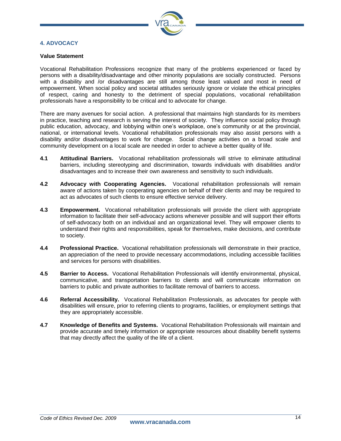

# **4. ADVOCACY**

#### **Value Statement**

Vocational Rehabilitation Professions recognize that many of the problems experienced or faced by persons with a disability/disadvantage and other minority populations are socially constructed. Persons with a disability and /or disadvantages are still among those least valued and most in need of empowerment. When social policy and societal attitudes seriously ignore or violate the ethical principles of respect, caring and honesty to the detriment of special populations, vocational rehabilitation professionals have a responsibility to be critical and to advocate for change.

There are many avenues for social action. A professional that maintains high standards for its members in practice, teaching and research is serving the interest of society. They influence social policy through public education, advocacy, and lobbying within one's workplace, one's community or at the provincial, national, or international levels. Vocational rehabilitation professionals may also assist persons with a disability and/or disadvantages to work for change. Social change activities on a broad scale and community development on a local scale are needed in order to achieve a better quality of life.

- **4.1 Attitudinal Barriers.** Vocational rehabilitation professionals will strive to eliminate attitudinal barriers, including stereotyping and discrimination, towards individuals with disabilities and/or disadvantages and to increase their own awareness and sensitivity to such individuals.
- **4.2 Advocacy with Cooperating Agencies.** Vocational rehabilitation professionals will remain aware of actions taken by cooperating agencies on behalf of their clients and may be required to act as advocates of such clients to ensure effective service delivery.
- **4.3 Empowerment.** Vocational rehabilitation professionals will provide the client with appropriate information to facilitate their self-advocacy actions whenever possible and will support their efforts of self-advocacy both on an individual and an organizational level. They will empower clients to understand their rights and responsibilities, speak for themselves, make decisions, and contribute to society.
- **4.4 Professional Practice.** Vocational rehabilitation professionals will demonstrate in their practice, an appreciation of the need to provide necessary accommodations, including accessible facilities and services for persons with disabilities.
- **4.5 Barrier to Access.** Vocational Rehabilitation Professionals will identify environmental, physical, communicative, and transportation barriers to clients and will communicate information on barriers to public and private authorities to facilitate removal of barriers to access.
- **4.6 Referral Accessibility.** Vocational Rehabilitation Professionals, as advocates for people with disabilities will ensure, prior to referring clients to programs, facilities, or employment settings that they are appropriately accessible.
- **4.7 Knowledge of Benefits and Systems.** Vocational Rehabilitation Professionals will maintain and provide accurate and timely information or appropriate resources about disability benefit systems that may directly affect the quality of the life of a client.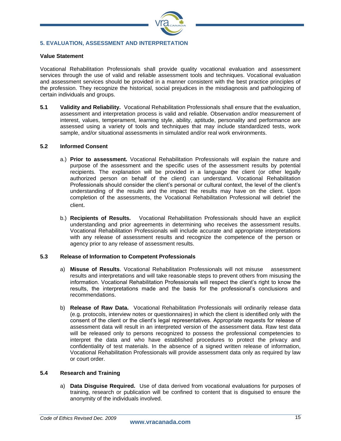

# **5. EVALUATION, ASSESSMENT AND INTERPRETATION**

# **Value Statement**

Vocational Rehabilitation Professionals shall provide quality vocational evaluation and assessment services through the use of valid and reliable assessment tools and techniques. Vocational evaluation and assessment services should be provided in a manner consistent with the best practice principles of the profession. They recognize the historical, social prejudices in the misdiagnosis and pathologizing of certain individuals and groups.

**5.1 Validity and Reliability.** Vocational Rehabilitation Professionals shall ensure that the evaluation, assessment and interpretation process is valid and reliable. Observation and/or measurement of interest, values, temperament, learning style, ability, aptitude, personality and performance are assessed using a variety of tools and techniques that may include standardized tests, work sample, and/or situational assessments in simulated and/or real work environments.

# **5.2 Informed Consent**

- a.) **Prior to assessment.** Vocational Rehabilitation Professionals will explain the nature and purpose of the assessment and the specific uses of the assessment results by potential recipients. The explanation will be provided in a language the client (or other legally authorized person on behalf of the client) can understand. Vocational Rehabilitation Professionals should consider the client's personal or cultural context, the level of the client's understanding of the results and the impact the results may have on the client. Upon completion of the assessments, the Vocational Rehabilitation Professional will debrief the client.
- b.) **Recipients of Results.** Vocational Rehabilitation Professionals should have an explicit understanding and prior agreements in determining who receives the assessment results. Vocational Rehabilitation Professionals will include accurate and appropriate interpretations with any release of assessment results and recognize the competence of the person or agency prior to any release of assessment results.

# **5.3 Release of Information to Competent Professionals**

- a) **Misuse of Results**. Vocational Rehabilitation Professionals will not misuse assessment results and interpretations and will take reasonable steps to prevent others from misusing the information. Vocational Rehabilitation Professionals will respect the client's right to know the results, the interpretations made and the basis for the professional's conclusions and recommendations.
- b) **Release of Raw Data.** Vocational Rehabilitation Professionals will ordinarily release data (e.g. protocols, interview notes or questionnaires) in which the client is identified only with the consent of the client or the client's legal representatives. Appropriate requests for release of assessment data will result in an interpreted version of the assessment data. Raw test data will be released only to persons recognized to possess the professional competencies to interpret the data and who have established procedures to protect the privacy and confidentiality of test materials. In the absence of a signed written release of information, Vocational Rehabilitation Professionals will provide assessment data only as required by law or court order.

# **5.4 Research and Training**

a) **Data Disguise Required.** Use of data derived from vocational evaluations for purposes of training, research or publication will be confined to content that is disguised to ensure the anonymity of the individuals involved.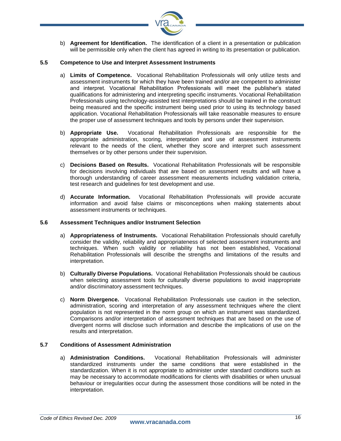

b) **Agreement for Identification.** The identification of a client in a presentation or publication will be permissible only when the client has agreed in writing to its presentation or publication.

# **5.5 Competence to Use and Interpret Assessment Instruments**

- a) **Limits of Competence.** Vocational Rehabilitation Professionals will only utilize tests and assessment instruments for which they have been trained and/or are competent to administer and interpret. Vocational Rehabilitation Professionals will meet the publisher's stated qualifications for administering and interpreting specific instruments. Vocational Rehabilitation Professionals using technology-assisted test interpretations should be trained in the construct being measured and the specific instrument being used prior to using its technology based application. Vocational Rehabilitation Professionals will take reasonable measures to ensure the proper use of assessment techniques and tools by persons under their supervision.
- b) **Appropriate Use.** Vocational Rehabilitation Professionals are responsible for the appropriate administration, scoring, interpretation and use of assessment instruments relevant to the needs of the client, whether they score and interpret such assessment themselves or by other persons under their supervision.
- c) **Decisions Based on Results.** Vocational Rehabilitation Professionals will be responsible for decisions involving individuals that are based on assessment results and will have a thorough understanding of career assessment measurements including validation criteria, test research and guidelines for test development and use.
- d) **Accurate Information.** Vocational Rehabilitation Professionals will provide accurate information and avoid false claims or misconceptions when making statements about assessment instruments or techniques.

# **5.6 Assessment Techniques and/or Instrument Selection**

- a) **Appropriateness of Instruments.** Vocational Rehabilitation Professionals should carefully consider the validity, reliability and appropriateness of selected assessment instruments and techniques. When such validity or reliability has not been established, Vocational Rehabilitation Professionals will describe the strengths and limitations of the results and interpretation.
- b) **Culturally Diverse Populations.** Vocational Rehabilitation Professionals should be cautious when selecting assessment tools for culturally diverse populations to avoid inappropriate and/or discriminatory assessment techniques.
- c) **Norm Divergence.** Vocational Rehabilitation Professionals use caution in the selection, administration, scoring and interpretation of any assessment techniques where the client population is not represented in the norm group on which an instrument was standardized. Comparisons and/or interpretation of assessment techniques that are based on the use of divergent norms will disclose such information and describe the implications of use on the results and interpretation.

# **5.7 Conditions of Assessment Administration**

a) **Administration Conditions.** Vocational Rehabilitation Professionals will administer standardized instruments under the same conditions that were established in the standardization. When it is not appropriate to administer under standard conditions such as may be necessary to accommodate modifications for clients with disabilities or when unusual behaviour or irregularities occur during the assessment those conditions will be noted in the interpretation.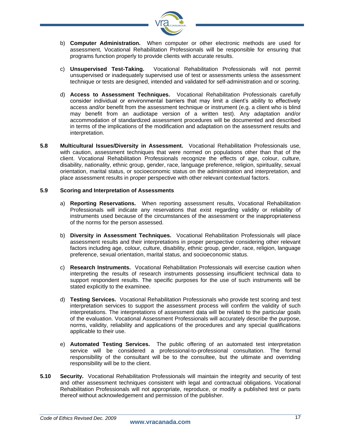

- b) **Computer Administration.** When computer or other electronic methods are used for assessment, Vocational Rehabilitation Professionals will be responsible for ensuring that programs function properly to provide clients with accurate results.
- c) **Unsupervised Test-Taking.** Vocational Rehabilitation Professionals will not permit unsupervised or inadequately supervised use of test or assessments unless the assessment technique or tests are designed, intended and validated for self-administration and or scoring.
- d) **Access to Assessment Techniques.** Vocational Rehabilitation Professionals carefully consider individual or environmental barriers that may limit a client's ability to effectively access and/or benefit from the assessment technique or instrument (e.g. a client who is blind may benefit from an audiotape version of a written test). Any adaptation and/or accommodation of standardized assessment procedures will be documented and described in terms of the implications of the modification and adaptation on the assessment results and interpretation.
- **5.8 Multicultural Issues/Diversity in Assessment.** Vocational Rehabilitation Professionals use, with caution, assessment techniques that were normed on populations other than that of the client. Vocational Rehabilitation Professionals recognize the effects of age, colour, culture, disability, nationality, ethnic group, gender, race, language preference, religion, spirituality, sexual orientation, marital status, or socioeconomic status on the administration and interpretation, and place assessment results in proper perspective with other relevant contextual factors.

# **5.9 Scoring and Interpretation of Assessments**

- a) **Reporting Reservations.** When reporting assessment results, Vocational Rehabilitation Professionals will indicate any reservations that exist regarding validity or reliability of instruments used because of the circumstances of the assessment or the inappropriateness of the norms for the person assessed.
- b) **Diversity in Assessment Techniques.** Vocational Rehabilitation Professionals will place assessment results and their interpretations in proper perspective considering other relevant factors including age, colour, culture, disability, ethnic group, gender, race, religion, language preference, sexual orientation, marital status, and socioeconomic status.
- c) **Research Instruments.** Vocational Rehabilitation Professionals will exercise caution when interpreting the results of research instruments possessing insufficient technical data to support respondent results. The specific purposes for the use of such instruments will be stated explicitly to the examinee.
- d) **Testing Services.** Vocational Rehabilitation Professionals who provide test scoring and test interpretation services to support the assessment process will confirm the validity of such interpretations. The interpretations of assessment data will be related to the particular goals of the evaluation. Vocational Assessment Professionals will accurately describe the purpose, norms, validity, reliability and applications of the procedures and any special qualifications applicable to their use.
- e) **Automated Testing Services.** The public offering of an automated test interpretation service will be considered a professional-to-professional consultation. The formal responsibility of the consultant will be to the consultee, but the ultimate and overriding responsibility will be to the client.
- **5.10 Security.** Vocational Rehabilitation Professionals will maintain the integrity and security of test and other assessment techniques consistent with legal and contractual obligations. Vocational Rehabilitation Professionals will not appropriate, reproduce, or modify a published test or parts thereof without acknowledgement and permission of the publisher.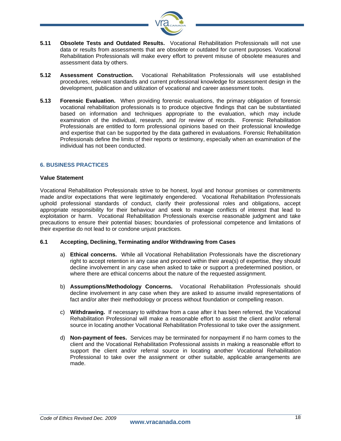

- **5.11 Obsolete Tests and Outdated Results.** Vocational Rehabilitation Professionals will not use data or results from assessments that are obsolete or outdated for current purposes. Vocational Rehabilitation Professionals will make every effort to prevent misuse of obsolete measures and assessment data by others.
- **5.12 Assessment Construction.** Vocational Rehabilitation Professionals will use established procedures, relevant standards and current professional knowledge for assessment design in the development, publication and utilization of vocational and career assessment tools.
- **5.13 Forensic Evaluation.** When providing forensic evaluations, the primary obligation of forensic vocational rehabilitation professionals is to produce objective findings that can be substantiated based on information and techniques appropriate to the evaluation, which may include examination of the individual, research, and /or review of records. Forensic Rehabilitation Professionals are entitled to form professional opinions based on their professional knowledge and expertise that can be supported by the data gathered in evaluations. Forensic Rehabilitation Professionals define the limits of their reports or testimony, especially when an examination of the individual has not been conducted.

# **6. BUSINESS PRACTICES**

# **Value Statement**

Vocational Rehabilitation Professionals strive to be honest, loyal and honour promises or commitments made and/or expectations that were legitimately engendered. Vocational Rehabilitation Professionals uphold professional standards of conduct, clarify their professional roles and obligations, accept appropriate responsibility for their behaviour and seek to manage conflicts of interest that lead to exploitation or harm. Vocational Rehabilitation Professionals exercise reasonable judgment and take precautions to ensure their potential biases; boundaries of professional competence and limitations of their expertise do not lead to or condone unjust practices.

# **6.1 Accepting, Declining, Terminating and/or Withdrawing from Cases**

- a) **Ethical concerns.** While all Vocational Rehabilitation Professionals have the discretionary right to accept retention in any case and proceed within their area(s) of expertise, they should decline involvement in any case when asked to take or support a predetermined position, or where there are ethical concerns about the nature of the requested assignment.
- b) **Assumptions/Methodology Concerns.** Vocational Rehabilitation Professionals should decline involvement in any case when they are asked to assume invalid representations of fact and/or alter their methodology or process without foundation or compelling reason.
- c) **Withdrawing.** If necessary to withdraw from a case after it has been referred, the Vocational Rehabilitation Professional will make a reasonable effort to assist the client and/or referral source in locating another Vocational Rehabilitation Professional to take over the assignment.
- d) **Non-payment of fees.** Services may be terminated for nonpayment if no harm comes to the client and the Vocational Rehabilitation Professional assists in making a reasonable effort to support the client and/or referral source in locating another Vocational Rehabilitation Professional to take over the assignment or other suitable, applicable arrangements are made.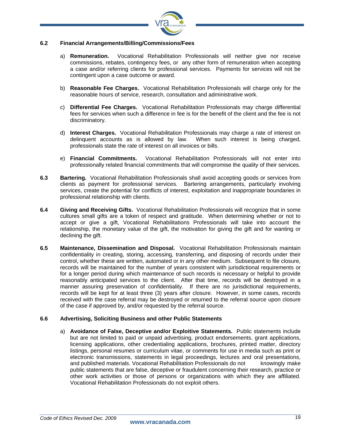

# **6.2 Financial Arrangements/Billing/Commissions/Fees**

- a) **Remuneration.** Vocational Rehabilitation Professionals will neither give nor receive commissions, rebates, contingency fees, or any other form of remuneration when accepting a case and/or referring clients for professional services. Payments for services will not be contingent upon a case outcome or award.
- b) **Reasonable Fee Charges.** Vocational Rehabilitation Professionals will charge only for the reasonable hours of service, research, consultation and administrative work.
- c) **Differential Fee Charges.** Vocational Rehabilitation Professionals may charge differential fees for services when such a difference in fee is for the benefit of the client and the fee is not discriminatory.
- d) **Interest Charges.** Vocational Rehabilitation Professionals may charge a rate of interest on delinquent accounts as is allowed by law. When such interest is being charged, professionals state the rate of interest on all invoices or bills.
- e) **Financial Commitments.** Vocational Rehabilitation Professionals will not enter into professionally related financial commitments that will compromise the quality of their services.
- **6.3 Bartering.** Vocational Rehabilitation Professionals shall avoid accepting goods or services from clients as payment for professional services. Bartering arrangements, particularly involving services, create the potential for conflicts of interest, exploitation and inappropriate boundaries in professional relationship with clients.
- **6.4 Giving and Receiving Gifts.** Vocational Rehabilitation Professionals will recognize that in some cultures small gifts are a token of respect and gratitude. When determining whether or not to accept or give a gift, Vocational Rehabilitations Professionals will take into account the relationship, the monetary value of the gift, the motivation for giving the gift and for wanting or declining the gift.
- **6.5 Maintenance, Dissemination and Disposal.** Vocational Rehabilitation Professionals maintain confidentiality in creating, storing, accessing, transferring, and disposing of records under their control, whether these are written, automated or in any other medium. Subsequent to file closure, records will be maintained for the number of years consistent with jurisdictional requirements or for a longer period during which maintenance of such records is necessary or helpful to provide reasonably anticipated services to the client. After that time, records will be destroyed in a manner assuring preservation of confidentiality. If there are no jurisdictional requirements, records will be kept for at least three (3) years after closure. However, in some cases, records received with the case referral may be destroyed or returned to the referral source upon closure of the case if approved by, and/or requested by the referral source.

# **6.6 Advertising, Soliciting Business and other Public Statements**

a) **Avoidance of False, Deceptive and/or Exploitive Statements.** Public statements include but are not limited to paid or unpaid advertising, product endorsements, grant applications, licensing applications, other credentialing applications, brochures, printed matter, directory listings, personal resumes or curriculum vitae, or comments for use in media such as print or electronic transmissions, statements in legal proceedings, lectures and oral presentations, and published materials. Vocational Rehabilitation Professionals do not knowingly make public statements that are false, deceptive or fraudulent concerning their research, practice or other work activities or those of persons or organizations with which they are affiliated. Vocational Rehabilitation Professionals do not exploit others.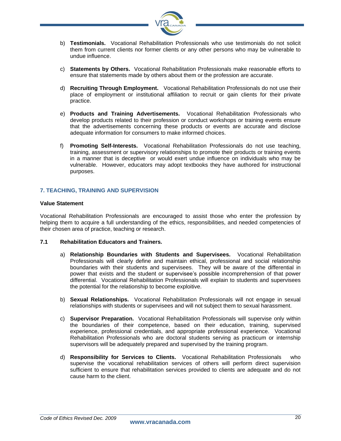

- b) **Testimonials.** Vocational Rehabilitation Professionals who use testimonials do not solicit them from current clients nor former clients or any other persons who may be vulnerable to undue influence.
- c) **Statements by Others.** Vocational Rehabilitation Professionals make reasonable efforts to ensure that statements made by others about them or the profession are accurate.
- d) **Recruiting Through Employment.** Vocational Rehabilitation Professionals do not use their place of employment or institutional affiliation to recruit or gain clients for their private practice.
- e) **Products and Training Advertisements.** Vocational Rehabilitation Professionals who develop products related to their profession or conduct workshops or training events ensure that the advertisements concerning these products or events are accurate and disclose adequate information for consumers to make informed choices.
- f) **Promoting Self-Interests.** Vocational Rehabilitation Professionals do not use teaching, training, assessment or supervisory relationships to promote their products or training events in a manner that is deceptive or would exert undue influence on individuals who may be vulnerable. However, educators may adopt textbooks they have authored for instructional purposes.

# **7. TEACHING, TRAINING AND SUPERVISION**

# **Value Statement**

Vocational Rehabilitation Professionals are encouraged to assist those who enter the profession by helping them to acquire a full understanding of the ethics, responsibilities, and needed competencies of their chosen area of practice, teaching or research.

# **7.1 Rehabilitation Educators and Trainers.**

- a) **Relationship Boundaries with Students and Supervisees.** Vocational Rehabilitation Professionals will clearly define and maintain ethical, professional and social relationship boundaries with their students and supervisees. They will be aware of the differential in power that exists and the student or supervisee's possible incomprehension of that power differential. Vocational Rehabilitation Professionals will explain to students and supervisees the potential for the relationship to become exploitive.
- b) **Sexual Relationships.** Vocational Rehabilitation Professionals will not engage in sexual relationships with students or supervisees and will not subject them to sexual harassment.
- c) **Supervisor Preparation.** Vocational Rehabilitation Professionals will supervise only within the boundaries of their competence, based on their education, training, supervised experience, professional credentials, and appropriate professional experience. Vocational Rehabilitation Professionals who are doctoral students serving as practicum or internship supervisors will be adequately prepared and supervised by the training program.
- d) **Responsibility for Services to Clients.** Vocational Rehabilitation Professionals who supervise the vocational rehabilitation services of others will perform direct supervision sufficient to ensure that rehabilitation services provided to clients are adequate and do not cause harm to the client.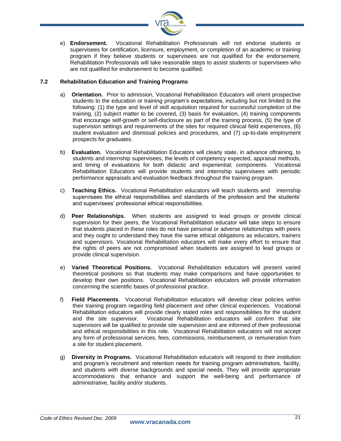

e) **Endorsement.** Vocational Rehabilitation Professionals will not endorse students or supervisees for certification, licensure, employment, or completion of an academic or training program if they believe students or supervisees are not qualified for the endorsement. Rehabilitation Professionals will take reasonable steps to assist students or supervisees who are not qualified for endorsement to become qualified.

# **7.2 Rehabilitation Education and Training Programs**

- a) **Orientation.** Prior to admission, Vocational Rehabilitation Educators will orient prospective students to the education or training program's expectations, including but not limited to the following: (1) the type and level of skill acquisition required for successful completion of the training, (2) subject matter to be covered, (3) basis for evaluation, (4) training components that encourage self-growth or self-disclosure as part of the training process, (5) the type of supervision settings and requirements of the sites for required clinical field experiences, (6) student evaluation and dismissal policies and procedures, and (7) up-to-date employment prospects for graduates.
- b) **Evaluation.** Vocational Rehabilitation Educators will clearly state, in advance oftraining, to students and internship supervisees, the levels of competency expected, appraisal methods, and timing of evaluations for both didactic and experiential; components. Vocational Rehabilitation Educators will provide students and internship supervisees with periodic performance appraisals and evaluation feedback throughout the training program.
- c) **Teaching Ethics.** Vocational Rehabilitation educators will teach students and internship supervisees the ethical responsibilities and standards of the profession and the students' and supervisees' professional ethical responsibilities.
- d) **Peer Relationships.** When students are assigned to lead groups or provide clinical supervision for their peers, the Vocational Rehabilitation educator will take steps to ensure that students placed in these roles do not have personal or adverse relationships with peers and they ought to understand they have the same ethical obligations as educators, trainers and supervisors. Vocational Rehabilitation educators will make every effort to ensure that the rights of peers are not compromised when students are assigned to lead groups or provide clinical supervision.
- e) **Varied Theoretical Positions.** Vocational Rehabilitation educators will present varied theoretical positions so that students may make comparisons and have opportunities to develop their own positions. Vocational Rehabilitation educators will provide information concerning the scientific bases of professional practice.
- f) **Field Placements**. Vocational Rehabilitation educators will develop clear policies within their training program regarding field placement and other clinical experiences. Vocational Rehabilitation educators will provide clearly stated roles and responsibilities for the student and the site supervisor. Vocational Rehabilitation educators will confirm that site supervisors will be qualified to provide site supervision and are informed of their professional and ethical responsibilities in this role. Vocational Rehabilitation educators will not accept any form of professional services, fees, commissions, reimbursement, or remuneration from a site for student placement.
- g) **Diversity in Programs.** Vocational Rehabilitation educators will respond to their institution and program's recruitment and retention needs for training program administrators, facility, and students with diverse backgrounds and special needs. They will provide appropriate accommodations that enhance and support the well-being and performance of administrative, facility and/or students.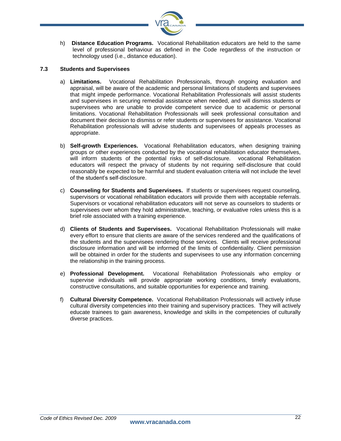

h) **Distance Education Programs.** Vocational Rehabilitation educators are held to the same level of professional behaviour as defined in the Code regardless of the instruction or technology used (i.e., distance education).

# **7.3 Students and Supervisees**

- a) **Limitations.** Vocational Rehabilitation Professionals, through ongoing evaluation and appraisal, will be aware of the academic and personal limitations of students and supervisees that might impede performance. Vocational Rehabilitation Professionals will assist students and supervisees in securing remedial assistance when needed, and will dismiss students or supervisees who are unable to provide competent service due to academic or personal limitations. Vocational Rehabilitation Professionals will seek professional consultation and document their decision to dismiss or refer students or supervisees for assistance. Vocational Rehabilitation professionals will advise students and supervisees of appeals processes as appropriate.
- b) **Self-growth Experiences.** Vocational Rehabilitation educators, when designing training groups or other experiences conducted by the vocational rehabilitation educator themselves, will inform students of the potential risks of self-disclosure. vocational Rehabilitation educators will respect the privacy of students by not requiring self-disclosure that could reasonably be expected to be harmful and student evaluation criteria will not include the level of the student's self-disclosure.
- c) **Counseling for Students and Supervisees.** If students or supervisees request counseling, supervisors or vocational rehabilitation educators will provide them with acceptable referrals. Supervisors or vocational rehabilitation educators will not serve as counselors to students or supervisees over whom they hold administrative, teaching, or evaluative roles unless this is a brief role associated with a training experience.
- d) **Clients of Students and Supervisees.** Vocational Rehabilitation Professionals will make every effort to ensure that clients are aware of the services rendered and the qualifications of the students and the supervisees rendering those services. Clients will receive professional disclosure information and will be informed of the limits of confidentiality. Client permission will be obtained in order for the students and supervisees to use any information concerning the relationship in the training process.
- e) **Professional Development.** Vocational Rehabilitation Professionals who employ or supervise individuals will provide appropriate working conditions, timely evaluations, constructive consultations, and suitable opportunities for experience and training.
- f) **Cultural Diversity Competence.** Vocational Rehabilitation Professionals will actively infuse cultural diversity competencies into their training and supervisory practices. They will actively educate trainees to gain awareness, knowledge and skills in the competencies of culturally diverse practices.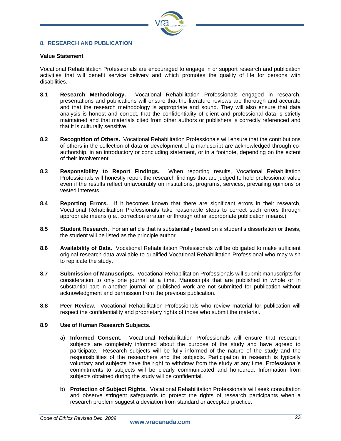

# **8. RESEARCH AND PUBLICATION**

#### **Value Statement**

Vocational Rehabilitation Professionals are encouraged to engage in or support research and publication activities that will benefit service delivery and which promotes the quality of life for persons with disabilities.

- **8.1 Research Methodology.** Vocational Rehabilitation Professionals engaged in research, presentations and publications will ensure that the literature reviews are thorough and accurate and that the research methodology is appropriate and sound. They will also ensure that data analysis is honest and correct, that the confidentiality of client and professional data is strictly maintained and that materials cited from other authors or publishers is correctly referenced and that it is culturally sensitive.
- **8.2 Recognition of Others.** Vocational Rehabilitation Professionals will ensure that the contributions of others in the collection of data or development of a manuscript are acknowledged through coauthorship, in an introductory or concluding statement, or in a footnote, depending on the extent of their involvement.
- **8.3 Responsibility to Report Findings.** When reporting results, Vocational Rehabilitation Professionals will honestly report the research findings that are judged to hold professional value even if the results reflect unfavourably on institutions, programs, services, prevailing opinions or vested interests.
- **8.4 Reporting Errors.** If it becomes known that there are significant errors in their research, Vocational Rehabilitation Professionals take reasonable steps to correct such errors through appropriate means (i.e., correction erratum or through other appropriate publication means.)
- **8.5 Student Research.** For an article that is substantially based on a student's dissertation or thesis, the student will be listed as the principle author.
- **8.6 Availability of Data.** Vocational Rehabilitation Professionals will be obligated to make sufficient original research data available to qualified Vocational Rehabilitation Professional who may wish to replicate the study.
- **8.7 Submission of Manuscripts.** Vocational Rehabilitation Professionals will submit manuscripts for consideration to only one journal at a time. Manuscripts that are published in whole or in substantial part in another journal or published work are not submitted for publication without acknowledgment and permission from the previous publication.
- **8.8 Peer Review.** Vocational Rehabilitation Professionals who review material for publication will respect the confidentiality and proprietary rights of those who submit the material.

# **8.9 Use of Human Research Subjects.**

- a) **Informed Consent.** Vocational Rehabilitation Professionals will ensure that research subjects are completely informed about the purpose of the study and have agreed to participate. Research subjects will be fully informed of the nature of the study and the responsibilities of the researchers and the subjects. Participation in research is typically voluntary and subjects have the right to withdraw from the study at any time. Professional's commitments to subjects will be clearly communicated and honoured. Information from subjects obtained during the study will be confidential.
- b) **Protection of Subject Rights.** Vocational Rehabilitation Professionals will seek consultation and observe stringent safeguards to protect the rights of research participants when a research problem suggest a deviation from standard or accepted practice.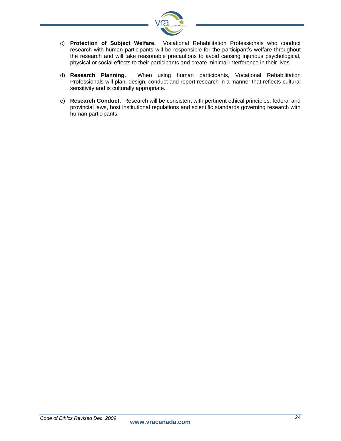

- c) **Protection of Subject Welfare.** Vocational Rehabilitation Professionals who conduct research with human participants will be responsible for the participant's welfare throughout the research and will take reasonable precautions to avoid causing injurious psychological, physical or social effects to their participants and create minimal interference in their lives.
- d) **Research Planning.** When using human participants, Vocational Rehabilitation Professionals will plan, design, conduct and report research in a manner that reflects cultural sensitivity and is culturally appropriate.
- e) **Research Conduct.** Research will be consistent with pertinent ethical principles, federal and provincial laws, host institutional regulations and scientific standards governing research with human participants.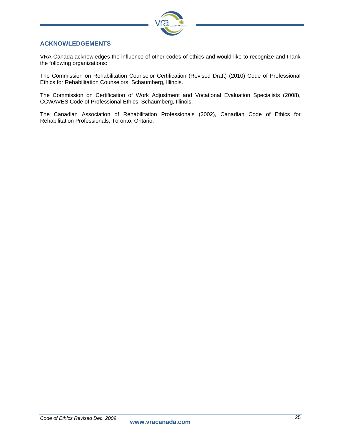

# **ACKNOWLEDGEMENTS**

VRA Canada acknowledges the influence of other codes of ethics and would like to recognize and thank the following organizations:

The Commission on Rehabilitation Counselor Certification (Revised Draft) (2010) Code of Professional Ethics for Rehabilitation Counselors, Schaumberg, Illinois.

The Commission on Certification of Work Adjustment and Vocational Evaluation Specialists (2008), CCWAVES Code of Professional Ethics, Schaumberg, Illinois.

The Canadian Association of Rehabilitation Professionals (2002), Canadian Code of Ethics for Rehabilitation Professionals, Toronto, Ontario.